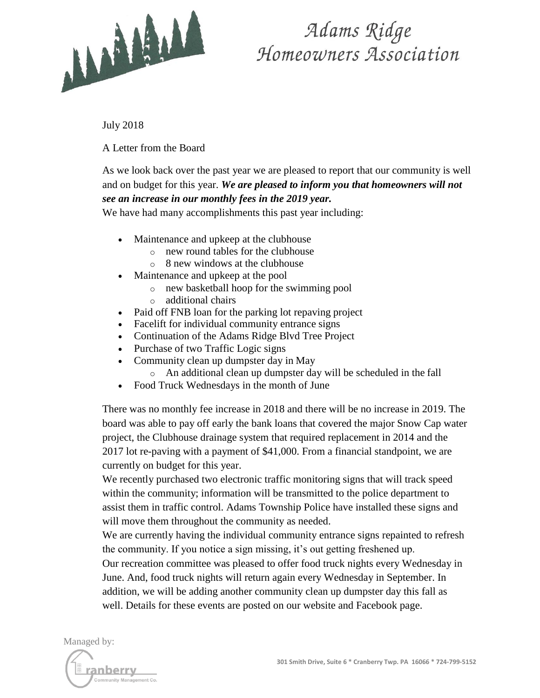

## Adams Ridge Homeowners Association

July 2018

A Letter from the Board

As we look back over the past year we are pleased to report that our community is well and on budget for this year. *We are pleased to inform you that homeowners will not see an increase in our monthly fees in the 2019 year.*

We have had many accomplishments this past year including:

- Maintenance and upkeep at the clubhouse
	- o new round tables for the clubhouse
	- $\circ$  8 new windows at the clubhouse
- Maintenance and upkeep at the pool
	- o new basketball hoop for the swimming pool
	- o additional chairs
- Paid off FNB loan for the parking lot repaving project
- Facelift for individual community entrance signs
- Continuation of the Adams Ridge Blvd Tree Project
- Purchase of two Traffic Logic signs
- Community clean up dumpster day in May
	- o An additional clean up dumpster day will be scheduled in the fall
- Food Truck Wednesdays in the month of June

There was no monthly fee increase in 2018 and there will be no increase in 2019. The board was able to pay off early the bank loans that covered the major Snow Cap water project, the Clubhouse drainage system that required replacement in 2014 and the 2017 lot re-paving with a payment of \$41,000. From a financial standpoint, we are currently on budget for this year.

We recently purchased two electronic traffic monitoring signs that will track speed within the community; information will be transmitted to the police department to assist them in traffic control. Adams Township Police have installed these signs and will move them throughout the community as needed.

We are currently having the individual community entrance signs repainted to refresh the community. If you notice a sign missing, it's out getting freshened up.

Our recreation committee was pleased to offer food truck nights every Wednesday in June. And, food truck nights will return again every Wednesday in September. In addition, we will be adding another community clean up dumpster day this fall as well. Details for these events are posted on our website and Facebook page.